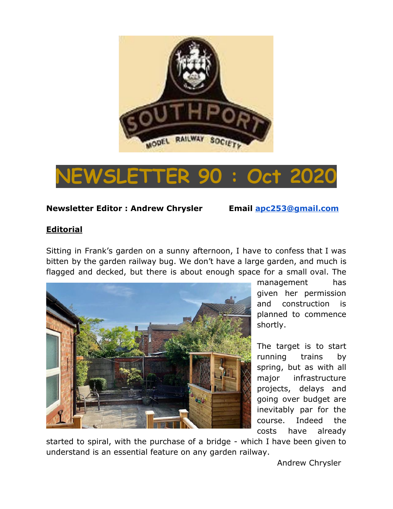



## **Newsletter Editor : Andrew Chrysler Email [apc253@gmail.com](mailto:apc253@gmail.com)**

## **Editorial**

Sitting in Frank's garden on a sunny afternoon, I have to confess that I was bitten by the garden railway bug. We don't have a large garden, and much is flagged and decked, but there is about enough space for a small oval. The



management has given her permission and construction is planned to commence shortly.

The target is to start running trains by spring, but as with all major infrastructure projects, delays and going over budget are inevitably par for the course. Indeed the costs have already

started to spiral, with the purchase of a bridge - which I have been given to understand is an essential feature on any garden railway.

Andrew Chrysler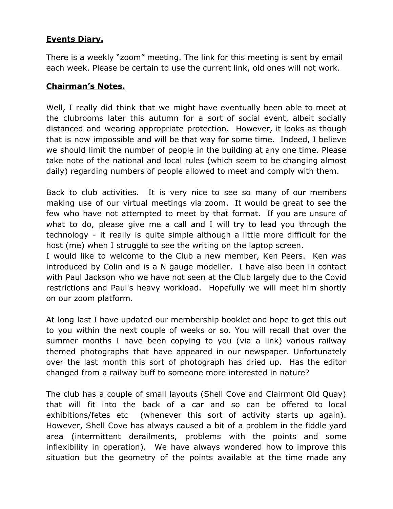## **Events Diary.**

There is a weekly "zoom" meeting. The link for this meeting is sent by email each week. Please be certain to use the current link, old ones will not work.

## **Chairman's Notes.**

Well, I really did think that we might have eventually been able to meet at the clubrooms later this autumn for a sort of social event, albeit socially distanced and wearing appropriate protection. However, it looks as though that is now impossible and will be that way for some time. Indeed, I believe we should limit the number of people in the building at any one time. Please take note of the national and local rules (which seem to be changing almost daily) regarding numbers of people allowed to meet and comply with them.

Back to club activities. It is very nice to see so many of our members making use of our virtual meetings via zoom. It would be great to see the few who have not attempted to meet by that format. If you are unsure of what to do, please give me a call and I will try to lead you through the technology - it really is quite simple although a little more difficult for the host (me) when I struggle to see the writing on the laptop screen.

I would like to welcome to the Club a new member, Ken Peers. Ken was introduced by Colin and is a N gauge modeller. I have also been in contact with Paul Jackson who we have not seen at the Club largely due to the Covid restrictions and Paul's heavy workload. Hopefully we will meet him shortly on our zoom platform.

At long last I have updated our membership booklet and hope to get this out to you within the next couple of weeks or so. You will recall that over the summer months I have been copying to you (via a link) various railway themed photographs that have appeared in our newspaper. Unfortunately over the last month this sort of photograph has dried up. Has the editor changed from a railway buff to someone more interested in nature?

The club has a couple of small layouts (Shell Cove and Clairmont Old Quay) that will fit into the back of a car and so can be offered to local exhibitions/fetes etc (whenever this sort of activity starts up again). However, Shell Cove has always caused a bit of a problem in the fiddle yard area (intermittent derailments, problems with the points and some inflexibility in operation). We have always wondered how to improve this situation but the geometry of the points available at the time made any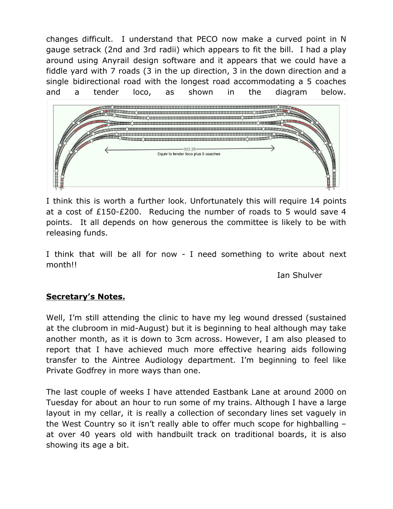changes difficult. I understand that PECO now make a curved point in N gauge setrack (2nd and 3rd radii) which appears to fit the bill. I had a play around using Anyrail design software and it appears that we could have a fiddle yard with 7 roads (3 in the up direction, 3 in the down direction and a single bidirectional road with the longest road accommodating a 5 coaches and a tender loco, as shown in the diagram below.



I think this is worth a further look. Unfortunately this will require 14 points at a cost of £150-£200. Reducing the number of roads to 5 would save 4 points. It all depends on how generous the committee is likely to be with releasing funds.

I think that will be all for now - I need something to write about next month!!

Ian Shulver

## **Secretary's Notes.**

Well, I'm still attending the clinic to have my leg wound dressed (sustained at the clubroom in mid-August) but it is beginning to heal although may take another month, as it is down to 3cm across. However, I am also pleased to report that I have achieved much more effective hearing aids following transfer to the Aintree Audiology department. I'm beginning to feel like Private Godfrey in more ways than one.

The last couple of weeks I have attended Eastbank Lane at around 2000 on Tuesday for about an hour to run some of my trains. Although I have a large layout in my cellar, it is really a collection of secondary lines set vaguely in the West Country so it isn't really able to offer much scope for highballing – at over 40 years old with handbuilt track on traditional boards, it is also showing its age a bit.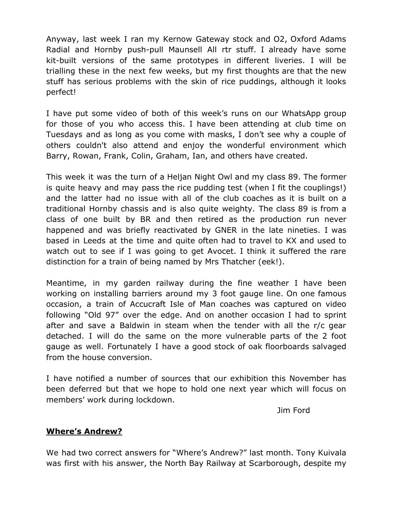Anyway, last week I ran my Kernow Gateway stock and O2, Oxford Adams Radial and Hornby push-pull Maunsell All rtr stuff. I already have some kit-built versions of the same prototypes in different liveries. I will be trialling these in the next few weeks, but my first thoughts are that the new stuff has serious problems with the skin of rice puddings, although it looks perfect!

I have put some video of both of this week's runs on our WhatsApp group for those of you who access this. I have been attending at club time on Tuesdays and as long as you come with masks, I don't see why a couple of others couldn't also attend and enjoy the wonderful environment which Barry, Rowan, Frank, Colin, Graham, Ian, and others have created.

This week it was the turn of a Heljan Night Owl and my class 89. The former is quite heavy and may pass the rice pudding test (when I fit the couplings!) and the latter had no issue with all of the club coaches as it is built on a traditional Hornby chassis and is also quite weighty. The class 89 is from a class of one built by BR and then retired as the production run never happened and was briefly reactivated by GNER in the late nineties. I was based in Leeds at the time and quite often had to travel to KX and used to watch out to see if I was going to get Avocet. I think it suffered the rare distinction for a train of being named by Mrs Thatcher (eek!).

Meantime, in my garden railway during the fine weather I have been working on installing barriers around my 3 foot gauge line. On one famous occasion, a train of Accucraft Isle of Man coaches was captured on video following "Old 97" over the edge. And on another occasion I had to sprint after and save a Baldwin in steam when the tender with all the r/c gear detached. I will do the same on the more vulnerable parts of the 2 foot gauge as well. Fortunately I have a good stock of oak floorboards salvaged from the house conversion.

I have notified a number of sources that our exhibition this November has been deferred but that we hope to hold one next year which will focus on members' work during lockdown.

Jim Ford

## **Where's Andrew?**

We had two correct answers for "Where's Andrew?" last month. Tony Kuivala was first with his answer, the North Bay Railway at Scarborough, despite my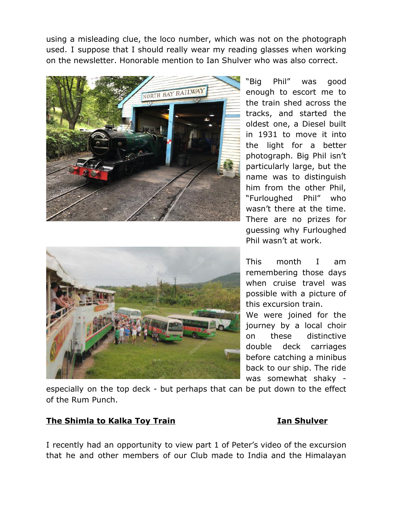using a misleading clue, the loco number, which was not on the photograph used. I suppose that I should really wear my reading glasses when working on the newsletter. Honorable mention to Ian Shulver who was also correct.



![](_page_4_Picture_2.jpeg)

"Big Phil" was good enough to escort me to the train shed across the tracks, and started the oldest one, a Diesel built in 1931 to move it into the light for a better photograph. Big Phil isn't particularly large, but the name was to distinguish him from the other Phil, "Furloughed Phil" who wasn't there at the time. There are no prizes for guessing why Furloughed Phil wasn't at work.

This month I am remembering those days when cruise travel was possible with a picture of this excursion train.

We were joined for the journey by a local choir on these distinctive double deck carriages before catching a minibus back to our ship. The ride was somewhat shaky -

especially on the top deck - but perhaps that can be put down to the effect of the Rum Punch.

## **The Shimla to Kalka Toy Train Integral Shulver Ian Shulver**

I recently had an opportunity to view part 1 of Peter's video of the excursion that he and other members of our Club made to India and the Himalayan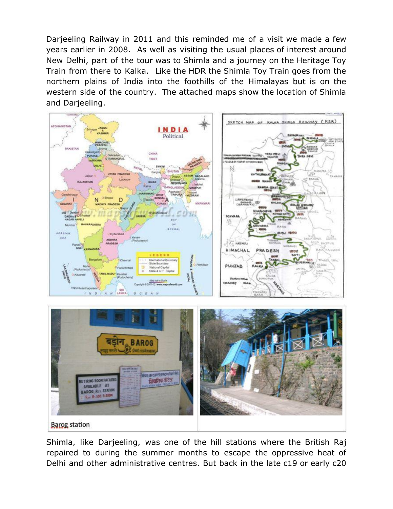Darjeeling Railway in 2011 and this reminded me of a visit we made a few years earlier in 2008. As well as visiting the usual places of interest around New Delhi, part of the tour was to Shimla and a journey on the Heritage Toy Train from there to Kalka. Like the HDR the Shimla Toy Train goes from the northern plains of India into the foothills of the Himalayas but is on the western side of the country. The attached maps show the location of Shimla and Darjeeling.

![](_page_5_Picture_1.jpeg)

Shimla, like Darjeeling, was one of the hill stations where the British Raj repaired to during the summer months to escape the oppressive heat of Delhi and other administrative centres. But back in the late c19 or early c20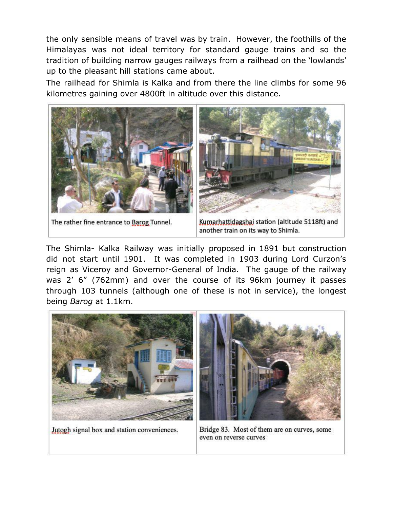the only sensible means of travel was by train. However, the foothills of the Himalayas was not ideal territory for standard gauge trains and so the tradition of building narrow gauges railways from a railhead on the 'lowlands' up to the pleasant hill stations came about.

The railhead for Shimla is Kalka and from there the line climbs for some 96 kilometres gaining over 4800ft in altitude over this distance.

![](_page_6_Picture_2.jpeg)

The rather fine entrance to Barog Tunnel.

Kumarhattidagshai station (altitude 5118ft) and another train on its way to Shimla.

The Shimla- Kalka Railway was initially proposed in 1891 but construction did not start until 1901. It was completed in 1903 during Lord Curzon's reign as Viceroy and Governor-General of India. The gauge of the railway was 2' 6" (762mm) and over the course of its 96km journey it passes through 103 tunnels (although one of these is not in service), the longest being *Barog* at 1.1km.

![](_page_6_Picture_6.jpeg)

Jutogh signal box and station conveniences.

Bridge 83. Most of them are on curves, some even on reverse curves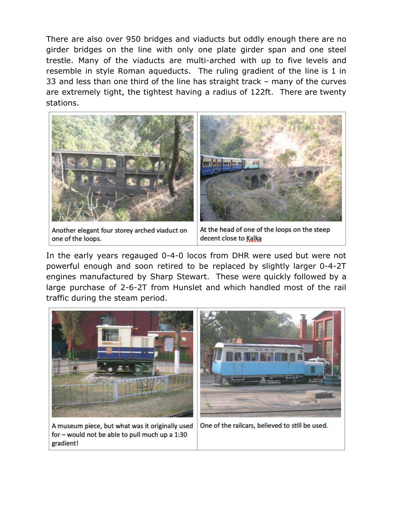There are also over 950 bridges and viaducts but oddly enough there are no girder bridges on the line with only one plate girder span and one steel trestle. Many of the viaducts are multi-arched with up to five levels and resemble in style Roman aqueducts. The ruling gradient of the line is 1 in 33 and less than one third of the line has straight track – many of the curves are extremely tight, the tightest having a radius of 122ft. There are twenty stations.

![](_page_7_Picture_1.jpeg)

Another elegant four storey arched viaduct on one of the loops.

At the head of one of the loops on the steep decent close to Kalka

In the early years regauged 0-4-0 locos from DHR were used but were not powerful enough and soon retired to be replaced by slightly larger 0-4-2T engines manufactured by Sharp Stewart. These were quickly followed by a large purchase of 2-6-2T from Hunslet and which handled most of the rail traffic during the steam period.

![](_page_7_Picture_5.jpeg)

A museum piece, but what was it originally used for - would not be able to pull much up a 1:30 gradient!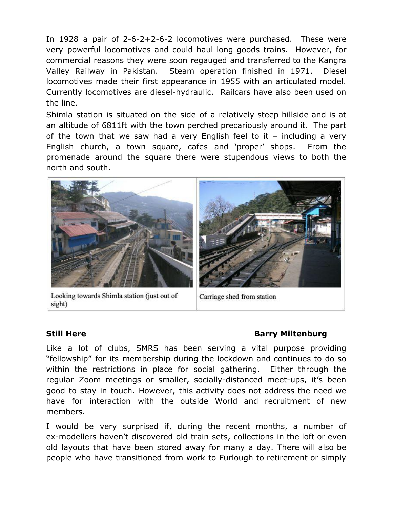In 1928 a pair of 2-6-2+2-6-2 locomotives were purchased. These were very powerful locomotives and could haul long goods trains. However, for commercial reasons they were soon regauged and transferred to the Kangra Valley Railway in Pakistan. Steam operation finished in 1971. Diesel locomotives made their first appearance in 1955 with an articulated model. Currently locomotives are diesel-hydraulic. Railcars have also been used on the line.

Shimla station is situated on the side of a relatively steep hillside and is at an altitude of 6811ft with the town perched precariously around it. The part of the town that we saw had a very English feel to it – including a very English church, a town square, cafes and 'proper' shops. From the promenade around the square there were stupendous views to both the north and south.

![](_page_8_Picture_2.jpeg)

Looking towards Shimla station (just out of sight)

Carriage shed from station

## **Still Here Barry Miltenburg**

Like a lot of clubs, SMRS has been serving a vital purpose providing "fellowship" for its membership during the lockdown and continues to do so within the restrictions in place for social gathering. Either through the regular Zoom meetings or smaller, socially-distanced meet-ups, it's been good to stay in touch. However, this activity does not address the need we have for interaction with the outside World and recruitment of new members.

I would be very surprised if, during the recent months, a number of ex-modellers haven't discovered old train sets, collections in the loft or even old layouts that have been stored away for many a day. There will also be people who have transitioned from work to Furlough to retirement or simply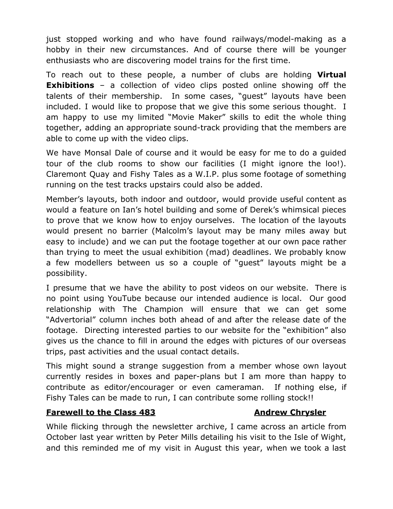just stopped working and who have found railways/model-making as a hobby in their new circumstances. And of course there will be younger enthusiasts who are discovering model trains for the first time.

To reach out to these people, a number of clubs are holding **Virtual Exhibitions** – a collection of video clips posted online showing off the talents of their membership. In some cases, "guest" layouts have been included. I would like to propose that we give this some serious thought. I am happy to use my limited "Movie Maker" skills to edit the whole thing together, adding an appropriate sound-track providing that the members are able to come up with the video clips.

We have Monsal Dale of course and it would be easy for me to do a guided tour of the club rooms to show our facilities (I might ignore the loo!). Claremont Quay and Fishy Tales as a W.I.P. plus some footage of something running on the test tracks upstairs could also be added.

Member's layouts, both indoor and outdoor, would provide useful content as would a feature on Ian's hotel building and some of Derek's whimsical pieces to prove that we know how to enjoy ourselves. The location of the layouts would present no barrier (Malcolm's layout may be many miles away but easy to include) and we can put the footage together at our own pace rather than trying to meet the usual exhibition (mad) deadlines. We probably know a few modellers between us so a couple of "guest" layouts might be a possibility.

I presume that we have the ability to post videos on our website. There is no point using YouTube because our intended audience is local. Our good relationship with The Champion will ensure that we can get some "Advertorial" column inches both ahead of and after the release date of the footage. Directing interested parties to our website for the "exhibition" also gives us the chance to fill in around the edges with pictures of our overseas trips, past activities and the usual contact details.

This might sound a strange suggestion from a member whose own layout currently resides in boxes and paper-plans but I am more than happy to contribute as editor/encourager or even cameraman. If nothing else, if Fishy Tales can be made to run, I can contribute some rolling stock!!

## **Farewell to the Class 483 Andrew Chrysler**

While flicking through the newsletter archive, I came across an article from October last year written by Peter Mills detailing his visit to the Isle of Wight, and this reminded me of my visit in August this year, when we took a last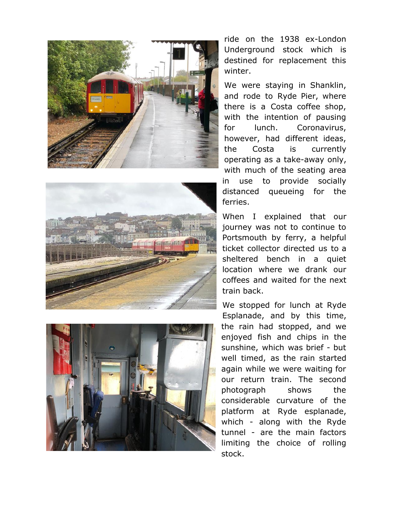![](_page_10_Picture_0.jpeg)

![](_page_10_Picture_1.jpeg)

![](_page_10_Picture_2.jpeg)

ride on the 1938 ex-London Underground stock which is destined for replacement this winter.

We were staying in Shanklin, and rode to Ryde Pier, where there is a Costa coffee shop, with the intention of pausing for lunch. Coronavirus, however, had different ideas, the Costa is currently operating as a take-away only, with much of the seating area in use to provide socially distanced queueing for the ferries.

When I explained that our journey was not to continue to Portsmouth by ferry, a helpful ticket collector directed us to a sheltered bench in a quiet location where we drank our coffees and waited for the next train back.

We stopped for lunch at Ryde Esplanade, and by this time, the rain had stopped, and we enjoyed fish and chips in the sunshine, which was brief - but well timed, as the rain started again while we were waiting for our return train. The second photograph shows the considerable curvature of the platform at Ryde esplanade, which - along with the Ryde tunnel - are the main factors limiting the choice of rolling stock.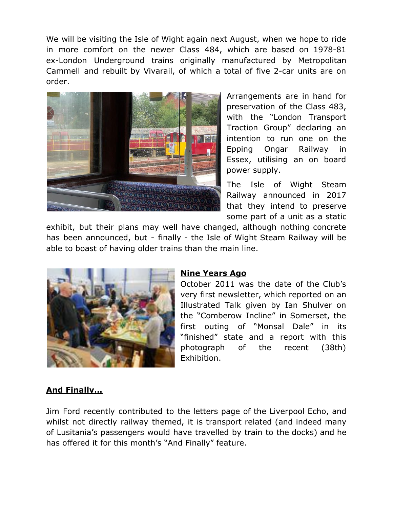We will be visiting the Isle of Wight again next August, when we hope to ride in more comfort on the newer Class 484, which are based on 1978-81 ex-London Underground trains originally manufactured by Metropolitan Cammell and rebuilt by Vivarail, of which a total of five 2-car units are on order.

![](_page_11_Picture_1.jpeg)

Arrangements are in hand for preservation of the Class 483, with the "London Transport Traction Group" declaring an intention to run one on the Epping Ongar Railway in Essex, utilising an on board power supply.

The Isle of Wight Steam Railway announced in 2017 that they intend to preserve some part of a unit as a static

exhibit, but their plans may well have changed, although nothing concrete has been announced, but - finally - the Isle of Wight Steam Railway will be able to boast of having older trains than the main line.

![](_page_11_Picture_5.jpeg)

## **Nine Years Ago**

October 2011 was the date of the Club's very first newsletter, which reported on an Illustrated Talk given by Ian Shulver on the "Comberow Incline" in Somerset, the first outing of "Monsal Dale" in its "finished" state and a report with this photograph of the recent (38th) Exhibition.

## **And Finally…**

Jim Ford recently contributed to the letters page of the Liverpool Echo, and whilst not directly railway themed, it is transport related (and indeed many of Lusitania's passengers would have travelled by train to the docks) and he has offered it for this month's "And Finally" feature.